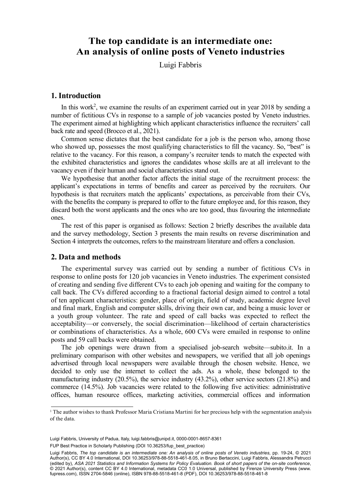# **The top candidate is an intermediate one: An analysis of online posts of Veneto industries**

Luigi Fabbris

#### **1. Introduction**

In this work<sup>2</sup>, we examine the results of an experiment carried out in year 2018 by sending a number of fictitious CVs in response to a sample of job vacancies posted by Veneto industries. The experiment aimed at highlighting which applicant characteristics influence the recruiters' call back rate and speed (Brocco et al., 2021).

Common sense dictates that the best candidate for a job is the person who, among those who showed up, possesses the most qualifying characteristics to fill the vacancy. So, "best" is relative to the vacancy. For this reason, a company's recruiter tends to match the expected with the exhibited characteristics and ignores the candidates whose skills are at all irrelevant to the vacancy even if their human and social characteristics stand out.

We hypothesise that another factor affects the initial stage of the recruitment process: the applicant's expectations in terms of benefits and career as perceived by the recruiters. Our hypothesis is that recruiters match the applicants' expectations, as perceivable from their CVs, with the benefits the company is prepared to offer to the future employee and, for this reason, they discard both the worst applicants and the ones who are too good, thus favouring the intermediate ones.

The rest of this paper is organised as follows: Section 2 briefly describes the available data and the survey methodology, Section 3 presents the main results on reverse discrimination and Section 4 interprets the outcomes, refers to the mainstream literature and offers a conclusion.

#### **2. Data and methods**

The experimental survey was carried out by sending a number of fictitious CVs in response to online posts for 120 job vacancies in Veneto industries. The experiment consisted of creating and sending five different CVs to each job opening and waiting for the company to call back. The CVs differed according to a fractional factorial design aimed to control a total of ten applicant characteristics: gender, place of origin, field of study, academic degree level and final mark, English and computer skills, driving their own car, and being a music lover or a youth group volunteer. The rate and speed of call backs was expected to reflect the acceptability—or conversely, the social discrimination—likelihood of certain characteristics or combinations of characteristics. As a whole, 600 CVs were emailed in response to online posts and 59 call backs were obtained.

The job openings were drawn from a specialised job-search website—subito.it. In a preliminary comparison with other websites and newspapers, we verified that all job openings advertised through local newspapers were available through the chosen website. Hence, we decided to only use the internet to collect the ads. As a whole, these belonged to the manufacturing industry (20.5%), the service industry (43.2%), other service sectors (21.8%) and commerce (14.5%). Job vacancies were related to the following five activities: administrative offices, human resource offices, marketing activities, commercial offices and information

FUP Best Practice in Scholarly Publishing (DOI [10.36253/fup\\_best\\_practice](https://doi.org/10.36253/fup_best_practice))

9 Luigi Fabbris, *The top candidate is an intermediate one: An analysis of online posts of Veneto industries*, pp. 19-24, © 2021 Author(s), [CC BY 4.0 International](http://creativecommons.org/licenses/by/4.0/legalcode), DOI [10.36253/978-88-5518-461-8.05,](https://doi.org/10.36253/978-88-5518-461-8.05) in Bruno Bertaccini, Luigi Fabbris, Alessandra Petrucci (edited by), *ASA 2021 Statistics and Information Systems for Policy Evaluation. Book of short papers of the on-site conference*, © 2021 Author(s), content [CC BY 4.0 International](http://creativecommons.org/licenses/by/4.0/legalcode), metadata [CC0 1.0 Universal](https://creativecommons.org/publicdomain/zero/1.0/legalcode), published by Firenze University Press [\(www.](http://www.fupress.com) [fupress.com\)](http://www.fupress.com), ISSN 2704-5846 (online), ISBN 978-88-5518-461-8 (PDF), DOI [10.36253/978-88-5518-461-8](https://doi.org/10.36253/978-88-5518-461-8)

 $\overline{a}$ <sup>1</sup> The author wishes to thank Professor Maria Cristiana Martini for her precious help with the segmentation analysis<br>of the data. The author wishes to thank Professor Maria Cristiana Martini for her precise  $\mathbb{R}^n$  with the segmentation analysis of her precise of her precise of  $\mathbb{R}^n$  with the segmentation analysis of  $\mathbb{R}^n$  with the segm of the data.

Luigi Fabbris, University of Padua, Italy, [luigi.fabbris@unipd.it](mailto:luigi.fabbris@unipd.it), [0000-0001-8657-8361](https://orcid.org/0000-0001-8657-8361)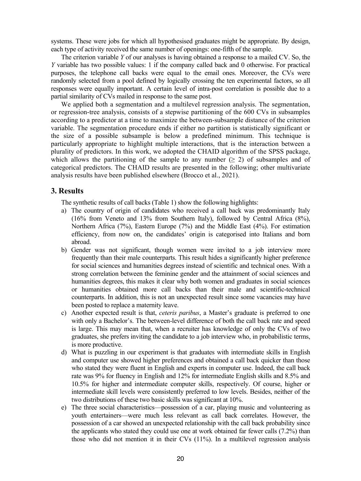systems. These were jobs for which all hypothesised graduates might be appropriate. By design, each type of activity received the same number of openings: one-fifth of the sample.

The criterion variable *Y* of our analyses is having obtained a response to a mailed CV. So, the *Y* variable has two possible values: 1 if the company called back and 0 otherwise. For practical purposes, the telephone call backs were equal to the email ones. Moreover, the CVs were randomly selected from a pool defined by logically crossing the ten experimental factors, so all responses were equally important. A certain level of intra-post correlation is possible due to a partial similarity of CVs mailed in response to the same post.

We applied both a segmentation and a multilevel regression analysis. The segmentation, or regression-tree analysis, consists of a stepwise partitioning of the 600 CVs in subsamples according to a predictor at a time to maximize the between-subsample distance of the criterion variable. The segmentation procedure ends if either no partition is statistically significant or the size of a possible subsample is below a predefined minimum. This technique is particularly appropriate to highlight multiple interactions, that is the interaction between a plurality of predictors. In this work, we adopted the CHAID algorithm of the SPSS package, which allows the partitioning of the sample to any number  $(\geq 2)$  of subsamples and of categorical predictors. The CHAID results are presented in the following; other multivariate analysis results have been published elsewhere (Brocco et al., 2021).

# **3. Results**

The synthetic results of call backs (Table 1) show the following highlights:

- a) The country of origin of candidates who received a call back was predominantly Italy (16% from Veneto and 13% from Southern Italy), followed by Central Africa (8%), Northern Africa (7%), Eastern Europe (7%) and the Middle East (4%). For estimation efficiency, from now on, the candidates' origin is categorised into Italians and born abroad.
- b) Gender was not significant, though women were invited to a job interview more frequently than their male counterparts. This result hides a significantly higher preference for social sciences and humanities degrees instead of scientific and technical ones. With a strong correlation between the feminine gender and the attainment of social sciences and humanities degrees, this makes it clear why both women and graduates in social sciences or humanities obtained more call backs than their male and scientific-technical counterparts. In addition, this is not an unexpected result since some vacancies may have been posted to replace a maternity leave.
- c) Another expected result is that, *ceteris paribus*, a Master's graduate is preferred to one with only a Bachelor's. The between-level difference of both the call back rate and speed is large. This may mean that, when a recruiter has knowledge of only the CVs of two graduates, she prefers inviting the candidate to a job interview who, in probabilistic terms, is more productive.
- d) What is puzzling in our experiment is that graduates with intermediate skills in English and computer use showed higher preferences and obtained a call back quicker than those who stated they were fluent in English and experts in computer use. Indeed, the call back rate was 9% for fluency in English and 12% for intermediate English skills and 8.5% and 10.5% for higher and intermediate computer skills, respectively. Of course, higher or intermediate skill levels were consistently preferred to low levels. Besides, neither of the two distributions of these two basic skills was significant at 10%.
- e) The three social characteristics—possession of a car, playing music and volunteering as youth entertainers—were much less relevant as call back correlates. However, the possession of a car showed an unexpected relationship with the call back probability since the applicants who stated they could use one at work obtained far fewer calls (7.2%) than those who did not mention it in their CVs (11%). In a multilevel regression analysis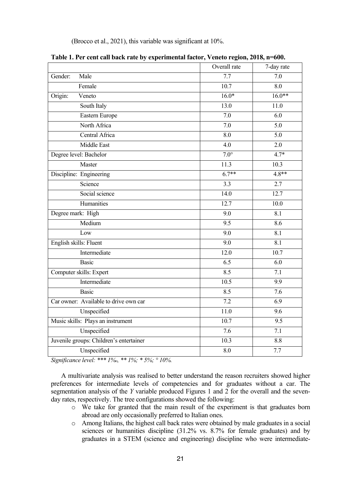(Brocco et al., 2021), this variable was significant at 10%.

|                                         | Overall rate     | 7-day rate       |
|-----------------------------------------|------------------|------------------|
| Male<br>Gender:                         | 7.7              | 7.0              |
| Female                                  | 10.7             | 8.0              |
| Veneto<br>Origin:                       | $16.0*$          | $16.0**$         |
| South Italy                             | 13.0             | 11.0             |
| Eastern Europe                          | 7.0              | 6.0              |
| North Africa                            | 7.0              | 5.0              |
| Central Africa                          | 8.0              | $\overline{5.0}$ |
| Middle East                             | 4.0              | 2.0              |
| Degree level: Bachelor                  | $7.0^\circ$      | $4.7*$           |
| Master                                  | 11.3             | 10.3             |
| Discipline: Engineering                 | $6.7**$          | $4.8**$          |
| Science                                 | 3.3              | 2.7              |
| Social science                          | 14.0             | 12.7             |
| Humanities                              | 12.7             | 10.0             |
| Degree mark: High                       | 9.0              | 8.1              |
| Medium                                  | 9.5              | 8.6              |
| Low                                     | 9.0              | 8.1              |
| English skills: Fluent                  | 9.0              | 8.1              |
| Intermediate                            | 12.0             | 10.7             |
| Basic                                   | 6.5              | 6.0              |
| Computer skills: Expert                 | 8.5              | 7.1              |
| Intermediate                            | 10.5             | 9.9              |
| Basic                                   | 8.5              | $\overline{7.6}$ |
| Car owner: Available to drive own car   | $\overline{7.2}$ | 6.9              |
| Unspecified                             | 11.0             | 9.6              |
| Music skills: Plays an instrument       | 10.7             | 9.5              |
| Unspecified                             | 7.6              | 7.1              |
| Juvenile groups: Children's entertainer | 10.3             | 8.8              |
| Unspecified                             | 8.0              | 7.7              |

*Significance level: \*\*\* 1%o, \*\* 1%; \* 5%; ° 10%.* 

A multivariate analysis was realised to better understand the reason recruiters showed higher preferences for intermediate levels of competencies and for graduates without a car. The segmentation analysis of the *Y* variable produced Figures 1 and 2 for the overall and the sevenday rates, respectively. The tree configurations showed the following:

- o We take for granted that the main result of the experiment is that graduates born abroad are only occasionally preferred to Italian ones.
- o Among Italians, the highest call back rates were obtained by male graduates in a social sciences or humanities discipline (31.2% vs. 8.7% for female graduates) and by graduates in a STEM (science and engineering) discipline who were intermediate-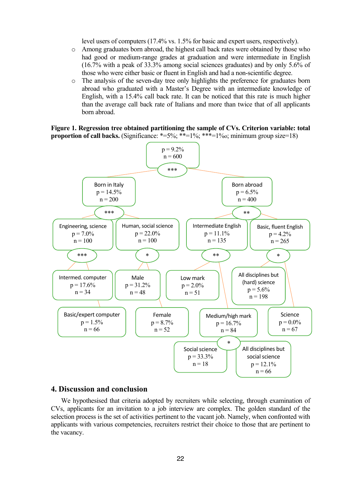level users of computers (17.4% vs. 1.5% for basic and expert users, respectively).

- o Among graduates born abroad, the highest call back rates were obtained by those who had good or medium-range grades at graduation and were intermediate in English (16.7% with a peak of 33.3% among social sciences graduates) and by only 5.6% of those who were either basic or fluent in English and had a non-scientific degree.
- o The analysis of the seven-day tree only highlights the preference for graduates born abroad who graduated with a Master's Degree with an intermediate knowledge of English, with a 15.4% call back rate. It can be noticed that this rate is much higher than the average call back rate of Italians and more than twice that of all applicants born abroad.

**Figure 1. Regression tree obtained partitioning the sample of CVs. Criterion variable: total proportion of call backs.** (Significance:  $*=5\%$ ;  $**=1\%$ ;  $**=1\%$ ; minimum group size=18)



## **4. Discussion and conclusion**

We hypothesised that criteria adopted by recruiters while selecting, through examination of CVs, applicants for an invitation to a job interview are complex. The golden standard of the selection process is the set of activities pertinent to the vacant job. Namely, when confronted with applicants with various competencies, recruiters restrict their choice to those that are pertinent to the vacancy.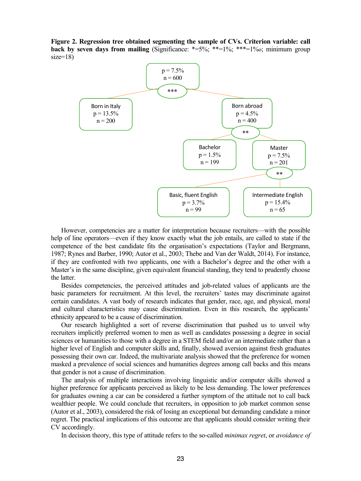**Figure 2. Regression tree obtained segmenting the sample of CVs. Criterion variable: call back by seven days from mailing** (Significance:  $*=5\%;$   $**=1\%;$   $***=1\%$ ; minimum group  $size=18$ )



However, competencies are a matter for interpretation because recruiters—with the possible help of line operators—even if they know exactly what the job entails, are called to state if the competence of the best candidate fits the organisation's expectations (Taylor and Bergmann, 1987; Rynes and Barber, 1990; Autor et al., 2003; Thebe and Van der Waldt, 2014). For instance, if they are confronted with two applicants, one with a Bachelor's degree and the other with a Master's in the same discipline, given equivalent financial standing, they tend to prudently choose the latter.

Besides competencies, the perceived attitudes and job-related values of applicants are the basic parameters for recruitment. At this level, the recruiters' tastes may discriminate against certain candidates. A vast body of research indicates that gender, race, age, and physical, moral and cultural characteristics may cause discrimination. Even in this research, the applicants' ethnicity appeared to be a cause of discrimination.

Our research highlighted a sort of reverse discrimination that pushed us to unveil why recruiters implicitly preferred women to men as well as candidates possessing a degree in social sciences or humanities to those with a degree in a STEM field and/or an intermediate rather than a higher level of English and computer skills and, finally, showed aversion against fresh graduates possessing their own car. Indeed, the multivariate analysis showed that the preference for women masked a prevalence of social sciences and humanities degrees among call backs and this means that gender is not a cause of discrimination.

The analysis of multiple interactions involving linguistic and/or computer skills showed a higher preference for applicants perceived as likely to be less demanding. The lower preferences for graduates owning a car can be considered a further symptom of the attitude not to call back wealthier people. We could conclude that recruiters, in opposition to job market common sense (Autor et al., 2003), considered the risk of losing an exceptional but demanding candidate a minor regret. The practical implications of this outcome are that applicants should consider writing their CV accordingly.

In decision theory, this type of attitude refers to the so-called *minimax regret*, or *avoidance of*